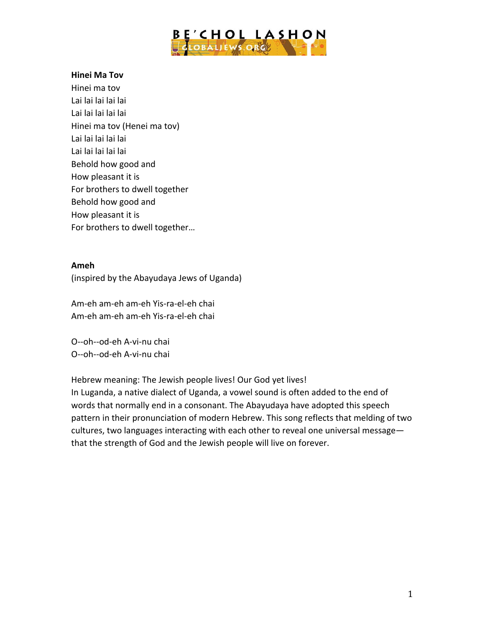

### **Hinei Ma Tov**

Hinei ma tov Lai lai lai lai lai Lai lai lai lai lai Hinei ma tov (Henei ma tov) Lai lai lai lai lai Lai lai lai lai lai Behold how good and How pleasant it is For brothers to dwell together Behold how good and How pleasant it is For brothers to dwell together...

#### **Ameh**

(inspired by the Abayudaya Jews of Uganda)

Am-eh am-eh am-eh Yis-ra-el-eh chai Am-eh am-eh am-eh Yis-ra-el-eh chai

O--oh--od-eh A-vi-nu chai O--oh--od-eh A-vi-nu chai

Hebrew meaning: The Jewish people lives! Our God yet lives! In Luganda, a native dialect of Uganda, a vowel sound is often added to the end of words that normally end in a consonant. The Abayudaya have adopted this speech pattern in their pronunciation of modern Hebrew. This song reflects that melding of two cultures, two languages interacting with each other to reveal one universal messagethat the strength of God and the Jewish people will live on forever.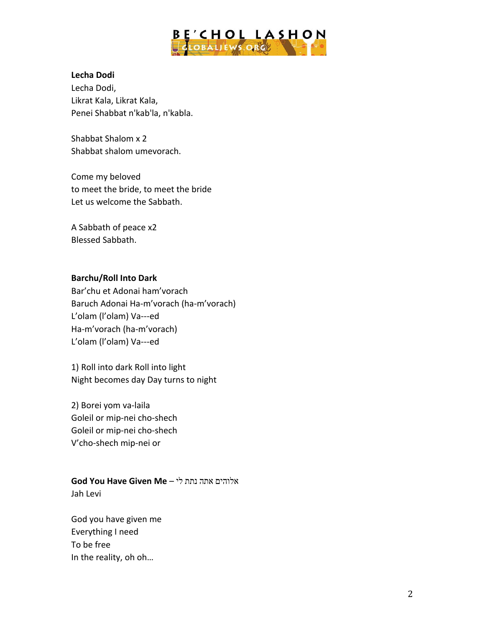

### **Lecha Dodi**

Lecha Dodi, Likrat Kala, Likrat Kala, Penei Shabbat n'kab'la, n'kabla.

Shabbat Shalom x 2 Shabbat shalom umevorach.

Come my beloved to meet the bride, to meet the bride Let us welcome the Sabbath.

A Sabbath of peace x2 Blessed Sabbath.

# **Barchu/Roll Into Dark**

Bar'chu et Adonai ham'vorach Baruch Adonai Ha-m'vorach (ha-m'vorach) L'olam (l'olam) Va---ed Ha-m'vorach (ha-m'vorach) L'olam (l'olam) Va---ed

1) Roll into dark Roll into light Night becomes day Day turns to night

2) Borei yom va-laila Goleil or mip-nei cho-shech Goleil or mip-nei cho-shech V'cho-shech mip-nei or

**God You Have Given Me** – לי נתת אתה אלוהים Jah Levi

God you have given me Everything I need To be free In the reality, oh oh...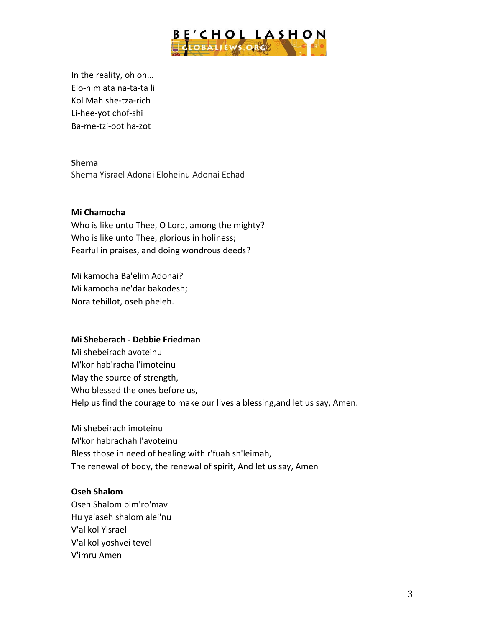

In the reality, oh oh... Elo-him ata na-ta-ta li Kol Mah she-tza-rich Li-hee-yot chof-shi Ba-me-tzi-oot ha-zot

## **Shema**

Shema Yisrael Adonai Eloheinu Adonai Echad

## **Mi Chamocha**

Who is like unto Thee, O Lord, among the mighty? Who is like unto Thee, glorious in holiness; Fearful in praises, and doing wondrous deeds?

Mi kamocha Ba'elim Adonai? Mi kamocha ne'dar bakodesh; Nora tehillot, oseh pheleh.

#### **Mi Sheberach - Debbie Friedman**

Mi shebeirach avoteinu M'kor hab'racha l'imoteinu May the source of strength, Who blessed the ones before us, Help us find the courage to make our lives a blessing, and let us say, Amen.

Mi shebeirach imoteinu M'kor habrachah l'avoteinu Bless those in need of healing with r'fuah sh'leimah, The renewal of body, the renewal of spirit, And let us say, Amen

#### **Oseh Shalom**

Oseh Shalom bim'ro'mav Hu ya'aseh shalom alei'nu V'al kol Yisrael V'al kol yoshvei tevel V'imru Amen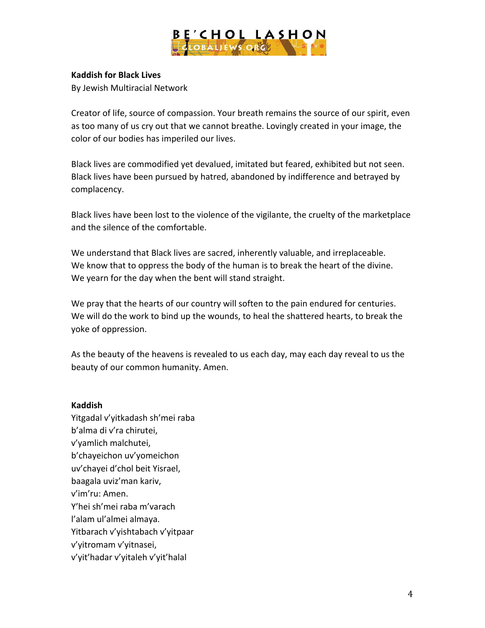

# **Kaddish for Black Lives**

By Jewish Multiracial Network

Creator of life, source of compassion. Your breath remains the source of our spirit, even as too many of us cry out that we cannot breathe. Lovingly created in your image, the color of our bodies has imperiled our lives.

Black lives are commodified yet devalued, imitated but feared, exhibited but not seen. Black lives have been pursued by hatred, abandoned by indifference and betrayed by complacency.

Black lives have been lost to the violence of the vigilante, the cruelty of the marketplace and the silence of the comfortable.

We understand that Black lives are sacred, inherently valuable, and irreplaceable. We know that to oppress the body of the human is to break the heart of the divine. We yearn for the day when the bent will stand straight.

We pray that the hearts of our country will soften to the pain endured for centuries. We will do the work to bind up the wounds, to heal the shattered hearts, to break the yoke of oppression.

As the beauty of the heavens is revealed to us each day, may each day reveal to us the beauty of our common humanity. Amen.

## **Kaddish**

Yitgadal v'yitkadash sh'mei raba b'alma di v'ra chirutei, v'yamlich malchutei, b'chayeichon uv'yomeichon uv'chayei d'chol beit Yisrael, baagala uviz'man kariv, v'im'ru: Amen. Y'hei sh'mei raba m'varach l'alam ul'almei almaya. Yitbarach v'yishtabach v'yitpaar v'yitromam v'yitnasei, v'yit'hadar v'yitaleh v'yit'halal